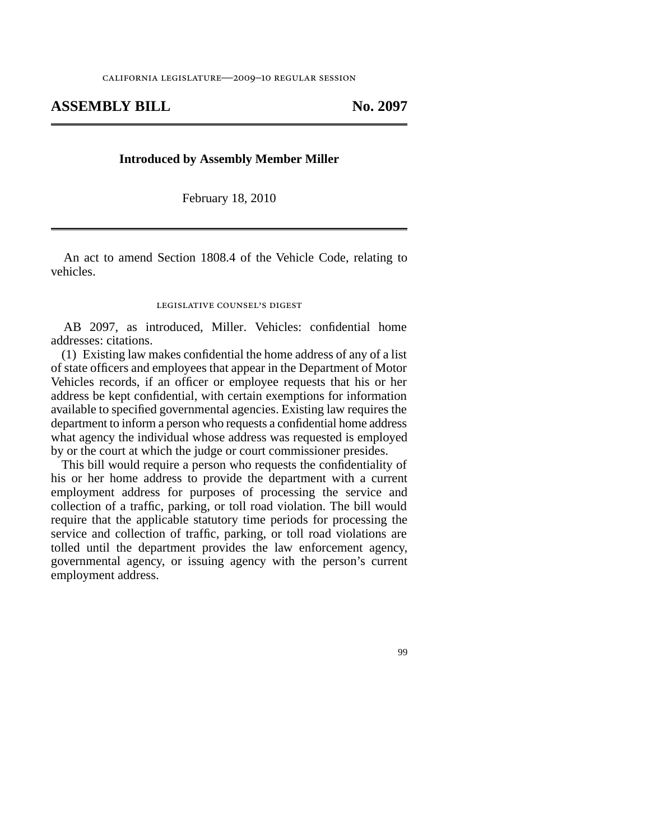## **ASSEMBLY BILL No. 2097**

## **Introduced by Assembly Member Miller**

February 18, 2010

An act to amend Section 1808.4 of the Vehicle Code, relating to vehicles.

## legislative counsel' s digest

AB 2097, as introduced, Miller. Vehicles: confidential home addresses: citations.

(1) Existing law makes confidential the home address of any of a list of state officers and employees that appear in the Department of Motor Vehicles records, if an officer or employee requests that his or her address be kept confidential, with certain exemptions for information available to specified governmental agencies. Existing law requires the department to inform a person who requests a confidential home address what agency the individual whose address was requested is employed by or the court at which the judge or court commissioner presides.

This bill would require a person who requests the confidentiality of his or her home address to provide the department with a current employment address for purposes of processing the service and collection of a traffic, parking, or toll road violation. The bill would require that the applicable statutory time periods for processing the service and collection of traffic, parking, or toll road violations are tolled until the department provides the law enforcement agency, governmental agency, or issuing agency with the person's current employment address.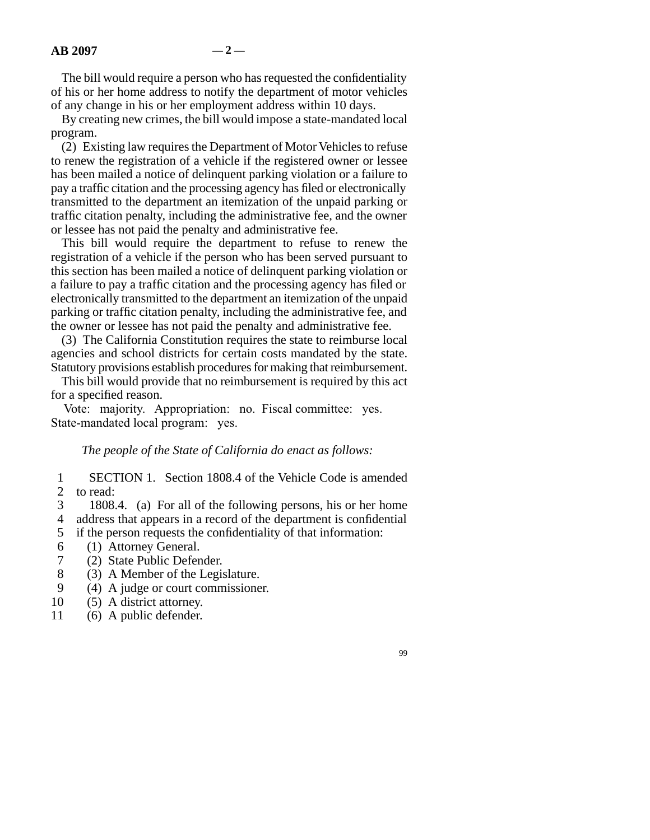The bill would require a person who has requested the confidentiality of his or her home address to notify the department of motor vehicles of any change in his or her employment address within 10 days.

By creating new crimes, the bill would impose a state-mandated local program.

(2) Existing law requires the Department of Motor Vehicles to refuse to renew the registration of a vehicle if the registered owner or lessee has been mailed a notice of delinquent parking violation or a failure to pay a traffic citation and the processing agency has filed or electronically transmitted to the department an itemization of the unpaid parking or traffic citation penalty, including the administrative fee, and the owner or lessee has not paid the penalty and administrative fee.

This bill would require the department to refuse to renew the registration of a vehicle if the person who has been served pursuant to this section has been mailed a notice of delinquent parking violation or a failure to pay a traffic citation and the processing agency has filed or electronically transmitted to the department an itemization of the unpaid parking or traffic citation penalty, including the administrative fee, and the owner or lessee has not paid the penalty and administrative fee.

(3) The California Constitution requires the state to reimburse local agencies and school districts for certain costs mandated by the state. Statutory provisions establish procedures for making that reimbursement.

This bill would provide that no reimbursement is required by this act for a specified reason.

Vote: majority. Appropriation: no. Fiscal committee: yes. State-mandated local program: yes.

*The people of the State of California do enact as follows:*

1 2 SECTION 1. Section 1808.4 of the Vehicle Code is amended to read:

3 4 1808.4. (a) For all of the following persons, his or her home address that appears in a record of the department is confidential

- 5 if the person requests the confidentiality of that information:
- 6 (1) Attorney General.
- 7 (2) State Public Defender.
- 8 (3) A Member of the Legislature.
- 9 (4) A judge or court commissioner.
- 10 (5) A district attorney.
- 11 (6) A public defender.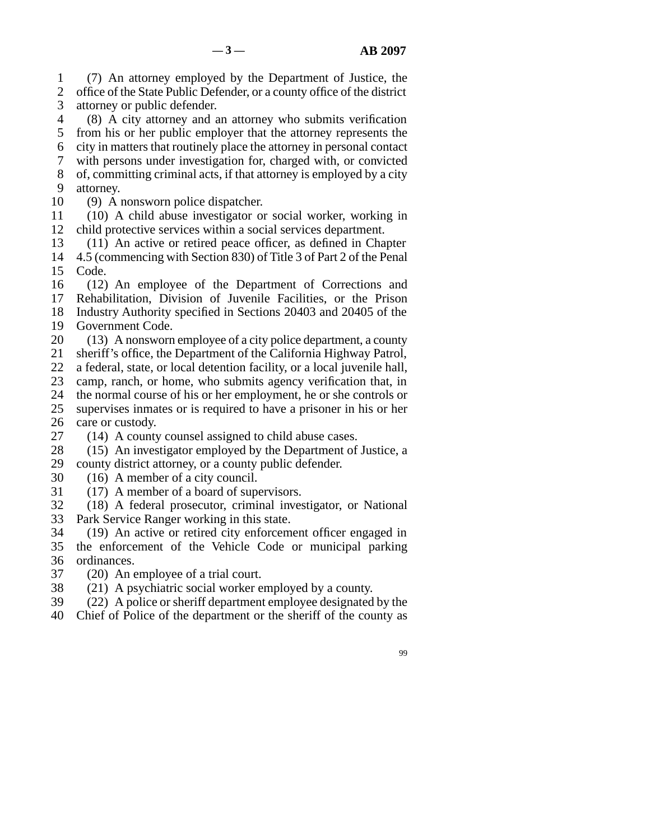1 2 3 (7) An attorney employed by the Department of Justice, the office of the State Public Defender, or a county office of the district attorney or public defender.

4 5 6 7 8 9 (8) A city attorney and an attorney who submits verification from his or her public employer that the attorney represents the city in matters that routinely place the attorney in personal contact with persons under investigation for, charged with, or convicted of, committing criminal acts, if that attorney is employed by a city attorney.

- 10 (9) A nonsworn police dispatcher.
- 11 12 (10) A child abuse investigator or social worker, working in child protective services within a social services department.

13 (11) An active or retired peace officer, as defined in Chapter

14 15 4.5 (commencing with Section 830) of Title 3 of Part 2 of the Penal Code.

16 17 18 (12) An employee of the Department of Corrections and Rehabilitation, Division of Juvenile Facilities, or the Prison Industry Authority specified in Sections 20403 and 20405 of the

- 19 Government Code.
- 20 (13) A nonsworn employee of a city police department, a county

21 sheriff's office, the Department of the California Highway Patrol,

22 a federal, state, or local detention facility, or a local juvenile hall,

23 camp, ranch, or home, who submits agency verification that, in

- 24 25 the normal course of his or her employment, he or she controls or supervises inmates or is required to have a prisoner in his or her
- 26 care or custody.
- 27 (14) A county counsel assigned to child abuse cases.
- 28 29 (15) An investigator employed by the Department of Justice, a county district attorney, or a county public defender.
- 30 (16) A member of a city council.
- 31 (17) A member of a board of supervisors.
- 32 33 (18) A federal prosecutor, criminal investigator, or National Park Service Ranger working in this state.
- 34 35 36 (19) An active or retired city enforcement officer engaged in the enforcement of the Vehicle Code or municipal parking ordinances.
- 37 (20) An employee of a trial court.
- 38 (21) A psychiatric social worker employed by a county.
- 39 (22) A police or sheriff department employee designated by the
- 40 Chief of Police of the department or the sheriff of the county as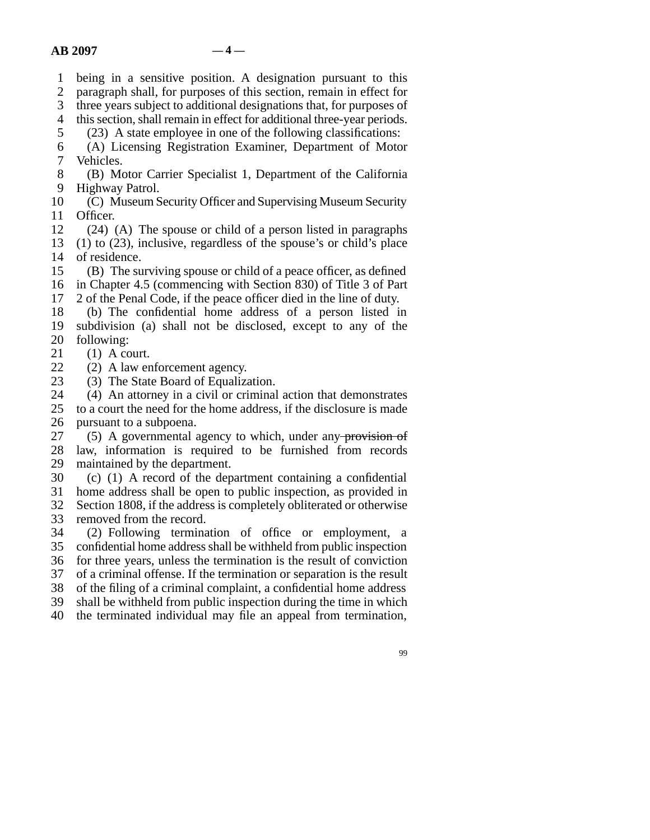1 being in a sensitive position. A designation pursuant to this

 $\mathcal{D}_{\mathcal{L}}$ paragraph shall, for purposes of this section, remain in effect for

3 three years subject to additional designations that, for purposes of

4 this section, shall remain in effect for additional three-year periods.

5 6 (23) A state employee in one of the following classifications: (A) Licensing Registration Examiner, Department of Motor

7 Vehicles.

8 9 (B) Motor Carrier Specialist 1, Department of the California Highway Patrol.

10 11 (C) Museum Security Officer and Supervising Museum Security Officer.

12 13 14 (24) (A) The spouse or child of a person listed in paragraphs (1) to (23), inclusive, regardless of the spouse's or child's place of residence.

15 16 (B) The surviving spouse or child of a peace officer, as defined in Chapter 4.5 (commencing with Section 830) of Title 3 of Part

17 2 of the Penal Code, if the peace officer died in the line of duty.

18 19 20 (b) The confidential home address of a person listed in subdivision (a) shall not be disclosed, except to any of the following:

21  $(1)$  A court.

22 (2) A law enforcement agency.

23 (3) The State Board of Equalization.

24 (4) An attorney in a civil or criminal action that demonstrates

25 26 to a court the need for the home address, if the disclosure is made pursuant to a subpoena.

27 28 29 (5) A governmental agency to which, under any provision of law, information is required to be furnished from records maintained by the department.

30 (c) (1) A record of the department containing a confidential

31 home address shall be open to public inspection, as provided in

32 Section 1808, if the address is completely obliterated or otherwise removed from the record.

33

34 35 36 37 (2) Following termination of office or employment, a confidential home address shall be withheld from public inspection for three years, unless the termination is the result of conviction of a criminal offense. If the termination or separation is the result

38 of the filing of a criminal complaint, a confidential home address

39 shall be withheld from public inspection during the time in which

40 the terminated individual may file an appeal from termination,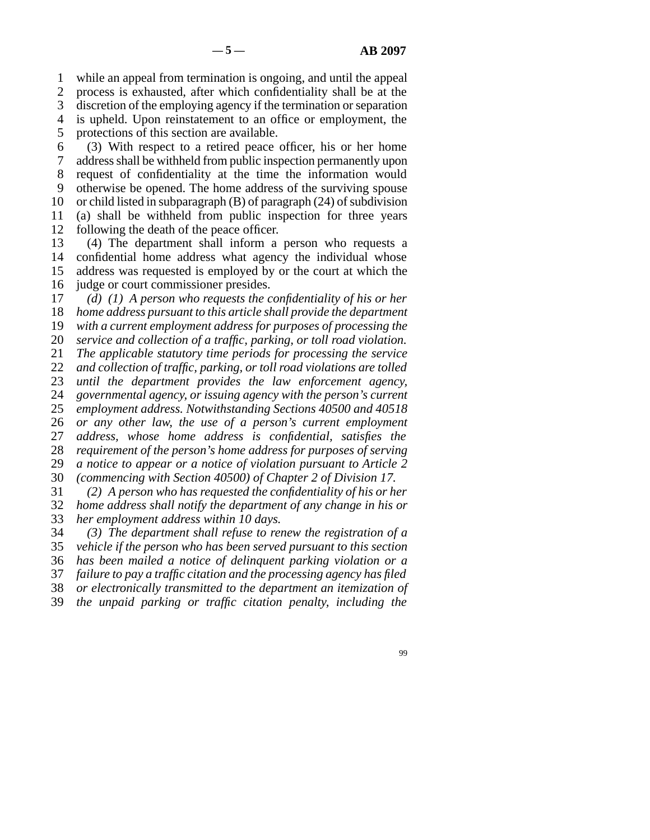1 2 while an appeal from termination is ongoing, and until the appeal process is exhausted, after which confidentiality shall be at the

3 discretion of the employing agency if the termination or separation

4 is upheld. Upon reinstatement to an office or employment, the

5 protections of this section are available.

6 7 8 9 10 11 12 (3) With respect to a retired peace officer, his or her home address shall be withheld from public inspection permanently upon request of confidentiality at the time the information would otherwise be opened. The home address of the surviving spouse or child listed in subparagraph (B) of paragraph (24) of subdivision (a) shall be withheld from public inspection for three years following the death of the peace officer.

13 14 15 16 (4) The department shall inform a person who requests a confidential home address what agency the individual whose address was requested is employed by or the court at which the judge or court commissioner presides.

17 18 19 20 21 22 23 24 25 26 27 28 29 30 31 *(d) (1) A person who requests the confidentiality of his or her home address pursuant to this article shall provide the department with a current employment address for purposes of processing the service and collection of a traffic, parking, or toll road violation. The applicable statutory time periods for processing the service and collection of traffic, parking, or toll road violations are tolled until the department provides the law enforcement agency, governmental agency, or issuing agency with the person's current employment address. Notwithstanding Sections 40500 and 40518 or any other law, the use of a person's current employment address, whose home address is confidential, satisfies the requirement of the person's home address for purposes of serving a notice to appear or a notice of violation pursuant to Article 2 (commencing with Section 40500) of Chapter 2 of Division 17. (2) A person who has requested the confidentiality of his or her*

32 33 *home address shall notify the department of any change in his or her employment address within 10 days.*

34 *(3) The department shall refuse to renew the registration of a*

35 36 *vehicle if the person who has been served pursuant to this section has been mailed a notice of delinquent parking violation or a*

37 *failure to pay a traffic citation and the processing agency has filed*

38 *or electronically transmitted to the department an itemization of*

39 *the unpaid parking or traffic citation penalty, including the*